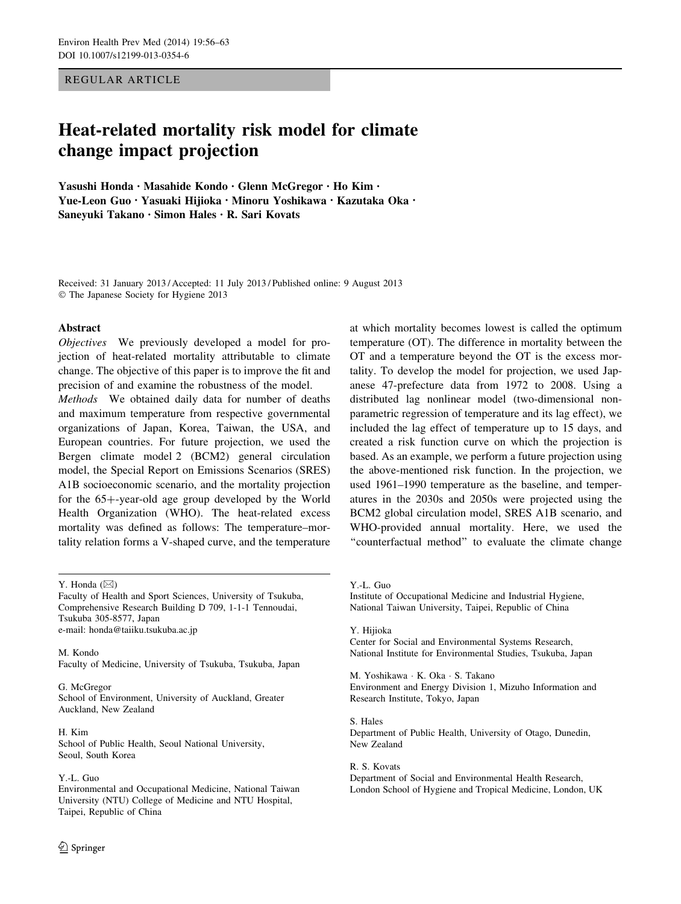REGULAR ARTICLE

# Heat-related mortality risk model for climate change impact projection

Yasushi Honda • Masahide Kondo • Glenn McGregor • Ho Kim • Yue-Leon Guo • Yasuaki Hijioka • Minoru Yoshikawa • Kazutaka Oka • Saneyuki Takano • Simon Hales • R. Sari Kovats

Received: 31 January 2013 / Accepted: 11 July 2013 / Published online: 9 August 2013 - The Japanese Society for Hygiene 2013

#### Abstract

Objectives We previously developed a model for projection of heat-related mortality attributable to climate change. The objective of this paper is to improve the fit and precision of and examine the robustness of the model.

Methods We obtained daily data for number of deaths and maximum temperature from respective governmental organizations of Japan, Korea, Taiwan, the USA, and European countries. For future projection, we used the Bergen climate model 2 (BCM2) general circulation model, the Special Report on Emissions Scenarios (SRES) A1B socioeconomic scenario, and the mortality projection for the  $65+$ -year-old age group developed by the World Health Organization (WHO). The heat-related excess mortality was defined as follows: The temperature–mortality relation forms a V-shaped curve, and the temperature

Y. Honda  $(\boxtimes)$ 

Faculty of Health and Sport Sciences, University of Tsukuba, Comprehensive Research Building D 709, 1-1-1 Tennoudai, Tsukuba 305-8577, Japan e-mail: honda@taiiku.tsukuba.ac.jp

M. Kondo Faculty of Medicine, University of Tsukuba, Tsukuba, Japan

## G. McGregor

School of Environment, University of Auckland, Greater Auckland, New Zealand

#### H. Kim

School of Public Health, Seoul National University, Seoul, South Korea

## Y.-L. Guo

Environmental and Occupational Medicine, National Taiwan University (NTU) College of Medicine and NTU Hospital, Taipei, Republic of China

at which mortality becomes lowest is called the optimum temperature (OT). The difference in mortality between the OT and a temperature beyond the OT is the excess mortality. To develop the model for projection, we used Japanese 47-prefecture data from 1972 to 2008. Using a distributed lag nonlinear model (two-dimensional nonparametric regression of temperature and its lag effect), we included the lag effect of temperature up to 15 days, and created a risk function curve on which the projection is based. As an example, we perform a future projection using the above-mentioned risk function. In the projection, we used 1961–1990 temperature as the baseline, and temperatures in the 2030s and 2050s were projected using the BCM2 global circulation model, SRES A1B scenario, and WHO-provided annual mortality. Here, we used the "counterfactual method" to evaluate the climate change

Y.-L. Guo

Institute of Occupational Medicine and Industrial Hygiene, National Taiwan University, Taipei, Republic of China

Y. Hijioka Center for Social and Environmental Systems Research, National Institute for Environmental Studies, Tsukuba, Japan

M. Yoshikawa - K. Oka - S. Takano Environment and Energy Division 1, Mizuho Information and Research Institute, Tokyo, Japan

S. Hales Department of Public Health, University of Otago, Dunedin, New Zealand

R. S. Kovats Department of Social and Environmental Health Research, London School of Hygiene and Tropical Medicine, London, UK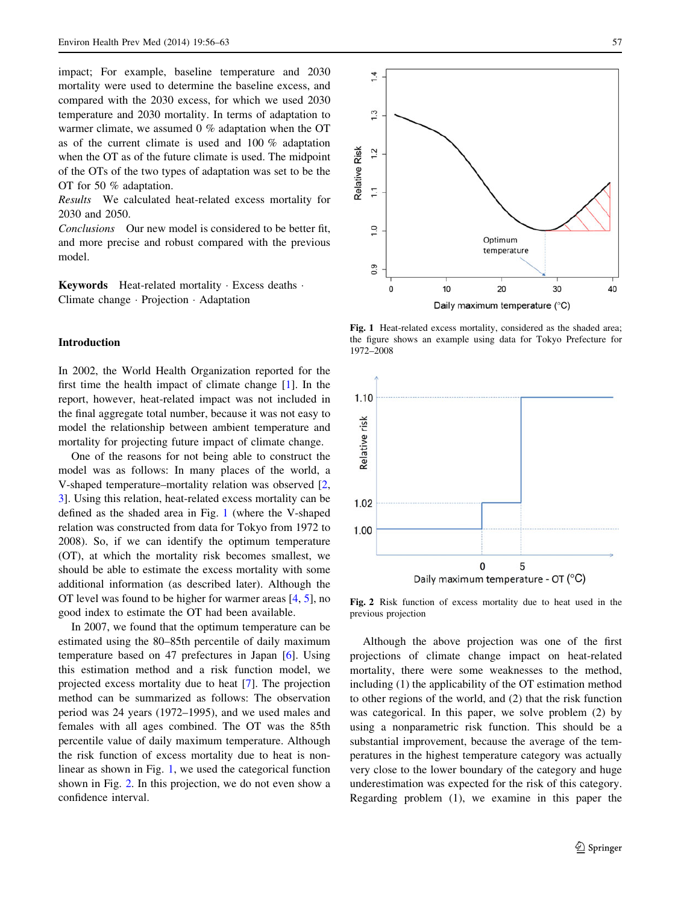<span id="page-1-0"></span>impact; For example, baseline temperature and 2030 mortality were used to determine the baseline excess, and compared with the 2030 excess, for which we used 2030 temperature and 2030 mortality. In terms of adaptation to warmer climate, we assumed 0 % adaptation when the OT as of the current climate is used and 100 % adaptation when the OT as of the future climate is used. The midpoint of the OTs of the two types of adaptation was set to be the OT for 50 % adaptation.

Results We calculated heat-related excess mortality for 2030 and 2050.

Conclusions Our new model is considered to be better fit, and more precise and robust compared with the previous model.

Keywords Heat-related mortality · Excess deaths · Climate change - Projection - Adaptation

## Introduction

In 2002, the World Health Organization reported for the first time the health impact of climate change [[1\]](#page-7-0). In the report, however, heat-related impact was not included in the final aggregate total number, because it was not easy to model the relationship between ambient temperature and mortality for projecting future impact of climate change.

One of the reasons for not being able to construct the model was as follows: In many places of the world, a V-shaped temperature–mortality relation was observed [[2,](#page-7-0) [3](#page-7-0)]. Using this relation, heat-related excess mortality can be defined as the shaded area in Fig. 1 (where the V-shaped relation was constructed from data for Tokyo from 1972 to 2008). So, if we can identify the optimum temperature (OT), at which the mortality risk becomes smallest, we should be able to estimate the excess mortality with some additional information (as described later). Although the OT level was found to be higher for warmer areas [[4,](#page-7-0) [5\]](#page-7-0), no good index to estimate the OT had been available.

In 2007, we found that the optimum temperature can be estimated using the 80–85th percentile of daily maximum temperature based on 47 prefectures in Japan [\[6](#page-7-0)]. Using this estimation method and a risk function model, we projected excess mortality due to heat [[7\]](#page-7-0). The projection method can be summarized as follows: The observation period was 24 years (1972–1995), and we used males and females with all ages combined. The OT was the 85th percentile value of daily maximum temperature. Although the risk function of excess mortality due to heat is nonlinear as shown in Fig. 1, we used the categorical function shown in Fig. 2. In this projection, we do not even show a confidence interval.



Fig. 1 Heat-related excess mortality, considered as the shaded area; the figure shows an example using data for Tokyo Prefecture for 1972–2008



Fig. 2 Risk function of excess mortality due to heat used in the previous projection

Although the above projection was one of the first projections of climate change impact on heat-related mortality, there were some weaknesses to the method, including (1) the applicability of the OT estimation method to other regions of the world, and (2) that the risk function was categorical. In this paper, we solve problem (2) by using a nonparametric risk function. This should be a substantial improvement, because the average of the temperatures in the highest temperature category was actually very close to the lower boundary of the category and huge underestimation was expected for the risk of this category. Regarding problem (1), we examine in this paper the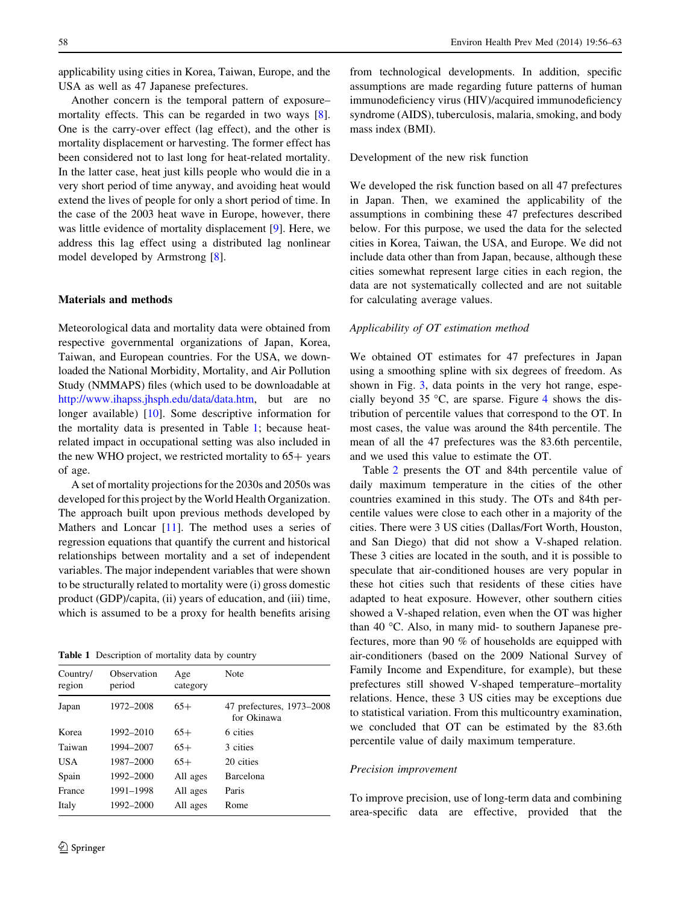<span id="page-2-0"></span>applicability using cities in Korea, Taiwan, Europe, and the USA as well as 47 Japanese prefectures.

Another concern is the temporal pattern of exposure– mortality effects. This can be regarded in two ways [\[8](#page-7-0)]. One is the carry-over effect (lag effect), and the other is mortality displacement or harvesting. The former effect has been considered not to last long for heat-related mortality. In the latter case, heat just kills people who would die in a very short period of time anyway, and avoiding heat would extend the lives of people for only a short period of time. In the case of the 2003 heat wave in Europe, however, there was little evidence of mortality displacement [\[9](#page-7-0)]. Here, we address this lag effect using a distributed lag nonlinear model developed by Armstrong [\[8](#page-7-0)].

## Materials and methods

Meteorological data and mortality data were obtained from respective governmental organizations of Japan, Korea, Taiwan, and European countries. For the USA, we downloaded the National Morbidity, Mortality, and Air Pollution Study (NMMAPS) files (which used to be downloadable at <http://www.ihapss.jhsph.edu/data/data.htm>, but are no longer available) [[10\]](#page-7-0). Some descriptive information for the mortality data is presented in Table 1; because heatrelated impact in occupational setting was also included in the new WHO project, we restricted mortality to  $65+$  years of age.

A set of mortality projections for the 2030s and 2050s was developed for this project by the World Health Organization. The approach built upon previous methods developed by Mathers and Loncar [[11\]](#page-7-0). The method uses a series of regression equations that quantify the current and historical relationships between mortality and a set of independent variables. The major independent variables that were shown to be structurally related to mortality were (i) gross domestic product (GDP)/capita, (ii) years of education, and (iii) time, which is assumed to be a proxy for health benefits arising

Table 1 Description of mortality data by country

| Country/<br>region | Observation<br>period | Age<br>category | Note                                     |
|--------------------|-----------------------|-----------------|------------------------------------------|
| Japan              | 1972-2008             | $65+$           | 47 prefectures, 1973-2008<br>for Okinawa |
| Korea              | 1992–2010             | $65+$           | 6 cities                                 |
| Taiwan             | 1994-2007             | $65+$           | 3 cities                                 |
| <b>USA</b>         | 1987-2000             | $65+$           | 20 cities                                |
| Spain              | 1992-2000             | All ages        | Barcelona                                |
| France             | 1991-1998             | All ages        | Paris                                    |
| Italy              | 1992-2000             | All ages        | Rome                                     |

from technological developments. In addition, specific assumptions are made regarding future patterns of human immunodeficiency virus (HIV)/acquired immunodeficiency syndrome (AIDS), tuberculosis, malaria, smoking, and body mass index (BMI).

## Development of the new risk function

We developed the risk function based on all 47 prefectures in Japan. Then, we examined the applicability of the assumptions in combining these 47 prefectures described below. For this purpose, we used the data for the selected cities in Korea, Taiwan, the USA, and Europe. We did not include data other than from Japan, because, although these cities somewhat represent large cities in each region, the data are not systematically collected and are not suitable for calculating average values.

#### Applicability of OT estimation method

We obtained OT estimates for 47 prefectures in Japan using a smoothing spline with six degrees of freedom. As shown in Fig. [3](#page-3-0), data points in the very hot range, especially beyond 35  $\degree$ C, are sparse. Figure [4](#page-3-0) shows the distribution of percentile values that correspond to the OT. In most cases, the value was around the 84th percentile. The mean of all the 47 prefectures was the 83.6th percentile, and we used this value to estimate the OT.

Table [2](#page-3-0) presents the OT and 84th percentile value of daily maximum temperature in the cities of the other countries examined in this study. The OTs and 84th percentile values were close to each other in a majority of the cities. There were 3 US cities (Dallas/Fort Worth, Houston, and San Diego) that did not show a V-shaped relation. These 3 cities are located in the south, and it is possible to speculate that air-conditioned houses are very popular in these hot cities such that residents of these cities have adapted to heat exposure. However, other southern cities showed a V-shaped relation, even when the OT was higher than 40  $\degree$ C. Also, in many mid- to southern Japanese prefectures, more than 90 % of households are equipped with air-conditioners (based on the 2009 National Survey of Family Income and Expenditure, for example), but these prefectures still showed V-shaped temperature–mortality relations. Hence, these 3 US cities may be exceptions due to statistical variation. From this multicountry examination, we concluded that OT can be estimated by the 83.6th percentile value of daily maximum temperature.

#### Precision improvement

To improve precision, use of long-term data and combining area-specific data are effective, provided that the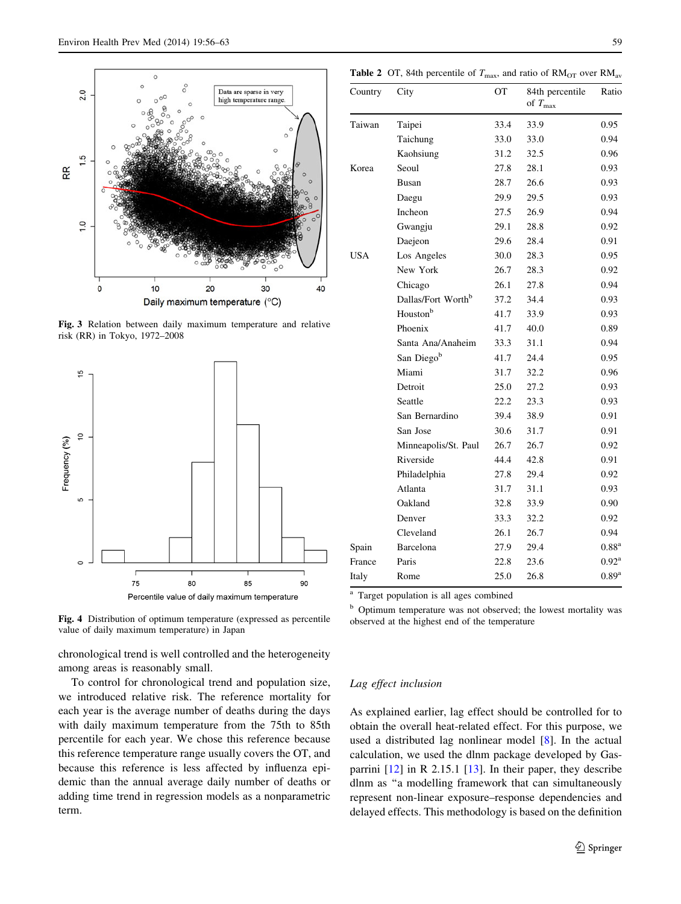<span id="page-3-0"></span>

Fig. 3 Relation between daily maximum temperature and relative risk (RR) in Tokyo, 1972–2008



Fig. 4 Distribution of optimum temperature (expressed as percentile value of daily maximum temperature) in Japan

chronological trend is well controlled and the heterogeneity among areas is reasonably small.

To control for chronological trend and population size, we introduced relative risk. The reference mortality for each year is the average number of deaths during the days with daily maximum temperature from the 75th to 85th percentile for each year. We chose this reference because this reference temperature range usually covers the OT, and because this reference is less affected by influenza epidemic than the annual average daily number of deaths or adding time trend in regression models as a nonparametric term.

**Table 2** OT, 84th percentile of  $T_{\text{max}}$ , and ratio of  $\text{RM}_{\text{OT}}$  over  $\text{RM}_{\text{av}}$ 

| Country | City                           | OT   | 84th percentile<br>of $T_{\text{max}}$ | Ratio               |
|---------|--------------------------------|------|----------------------------------------|---------------------|
| Taiwan  | Taipei                         | 33.4 | 33.9                                   | 0.95                |
|         | Taichung                       | 33.0 | 33.0                                   | 0.94                |
|         | Kaohsiung                      | 31.2 | 32.5                                   | 0.96                |
| Korea   | Seoul                          | 27.8 | 28.1                                   | 0.93                |
|         | Busan                          | 28.7 | 26.6                                   | 0.93                |
|         | Daegu                          | 29.9 | 29.5                                   | 0.93                |
|         | Incheon                        | 27.5 | 26.9                                   | 0.94                |
|         | Gwangju                        | 29.1 | 28.8                                   | 0.92                |
|         | Daejeon                        | 29.6 | 28.4                                   | 0.91                |
| USA     | Los Angeles                    | 30.0 | 28.3                                   | 0.95                |
|         | New York                       | 26.7 | 28.3                                   | 0.92                |
|         | Chicago                        |      | 27.8                                   | 0.94                |
|         | Dallas/Fort Worth <sup>b</sup> | 37.2 | 34.4                                   | 0.93                |
|         | Houston <sup>b</sup>           | 41.7 | 33.9                                   | 0.93                |
|         | Phoenix                        | 41.7 | 40.0                                   | 0.89                |
|         | Santa Ana/Anaheim              | 33.3 | 31.1                                   | 0.94                |
|         | San Diego <sup>b</sup>         | 41.7 | 24.4                                   | 0.95                |
|         | Miami                          | 31.7 | 32.2                                   | 0.96                |
|         | Detroit                        | 25.0 | 27.2                                   | 0.93                |
|         | Seattle                        | 22.2 | 23.3                                   | 0.93                |
|         | San Bernardino                 | 39.4 | 38.9                                   | 0.91                |
|         | San Jose                       | 30.6 | 31.7                                   | 0.91                |
|         | Minneapolis/St. Paul           | 26.7 | 26.7                                   | 0.92                |
|         | Riverside                      | 44.4 | 42.8                                   | 0.91                |
|         | Philadelphia                   | 27.8 | 29.4                                   | 0.92                |
|         | Atlanta                        | 31.7 | 31.1                                   | 0.93                |
|         | Oakland                        | 32.8 | 33.9                                   | 0.90                |
|         | Denver                         | 33.3 | 32.2                                   | 0.92                |
|         | Cleveland                      | 26.1 | 26.7                                   | 0.94                |
| Spain   | Barcelona                      | 27.9 | 29.4                                   | 0.88 <sup>a</sup>   |
| France  | Paris                          | 22.8 | 23.6                                   | $0.92^{\rm a}$      |
| Italy   | Rome                           | 25.0 | 26.8                                   | $0.89$ <sup>a</sup> |

<sup>a</sup> Target population is all ages combined

<sup>b</sup> Optimum temperature was not observed; the lowest mortality was observed at the highest end of the temperature

## Lag effect inclusion

As explained earlier, lag effect should be controlled for to obtain the overall heat-related effect. For this purpose, we used a distributed lag nonlinear model [[8\]](#page-7-0). In the actual calculation, we used the dlnm package developed by Gasparrini [[12\]](#page-7-0) in R 2.15.1 [\[13](#page-7-0)]. In their paper, they describe dlnm as ''a modelling framework that can simultaneously represent non-linear exposure–response dependencies and delayed effects. This methodology is based on the definition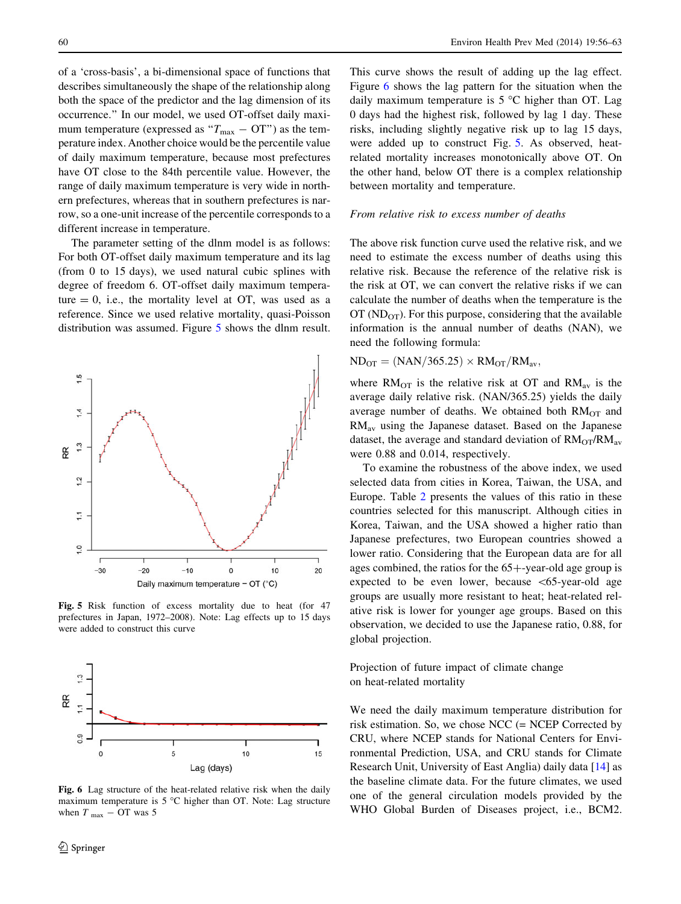<span id="page-4-0"></span>of a 'cross-basis', a bi-dimensional space of functions that describes simultaneously the shape of the relationship along both the space of the predictor and the lag dimension of its occurrence.'' In our model, we used OT-offset daily maximum temperature (expressed as " $T_{\text{max}} - OT$ ") as the temperature index. Another choice would be the percentile value of daily maximum temperature, because most prefectures have OT close to the 84th percentile value. However, the range of daily maximum temperature is very wide in northern prefectures, whereas that in southern prefectures is narrow, so a one-unit increase of the percentile corresponds to a different increase in temperature.

The parameter setting of the dlnm model is as follows: For both OT-offset daily maximum temperature and its lag (from 0 to 15 days), we used natural cubic splines with degree of freedom 6. OT-offset daily maximum temperature  $= 0$ , i.e., the mortality level at OT, was used as a reference. Since we used relative mortality, quasi-Poisson distribution was assumed. Figure 5 shows the dlnm result.



Fig. 5 Risk function of excess mortality due to heat (for 47 prefectures in Japan, 1972–2008). Note: Lag effects up to 15 days were added to construct this curve



Fig. 6 Lag structure of the heat-related relative risk when the daily maximum temperature is  $5^{\circ}$ C higher than OT. Note: Lag structure when  $T_{\text{max}} - \text{OT}$  was 5

This curve shows the result of adding up the lag effect. Figure 6 shows the lag pattern for the situation when the daily maximum temperature is  $5^{\circ}$ C higher than OT. Lag 0 days had the highest risk, followed by lag 1 day. These risks, including slightly negative risk up to lag 15 days, were added up to construct Fig. 5. As observed, heatrelated mortality increases monotonically above OT. On the other hand, below OT there is a complex relationship between mortality and temperature.

#### From relative risk to excess number of deaths

The above risk function curve used the relative risk, and we need to estimate the excess number of deaths using this relative risk. Because the reference of the relative risk is the risk at OT, we can convert the relative risks if we can calculate the number of deaths when the temperature is the OT ( $ND<sub>OT</sub>$ ). For this purpose, considering that the available information is the annual number of deaths (NAN), we need the following formula:

 $ND_{OT} = (NAN/365.25) \times RM_{OT}/RM_{av}$ 

where  $RM<sub>OT</sub>$  is the relative risk at OT and  $RM<sub>av</sub>$  is the average daily relative risk. (NAN/365.25) yields the daily average number of deaths. We obtained both  $RM<sub>OT</sub>$  and RMav using the Japanese dataset. Based on the Japanese dataset, the average and standard deviation of  $RM<sub>OT</sub>/RM<sub>av</sub>$ were 0.88 and 0.014, respectively.

To examine the robustness of the above index, we used selected data from cities in Korea, Taiwan, the USA, and Europe. Table [2](#page-3-0) presents the values of this ratio in these countries selected for this manuscript. Although cities in Korea, Taiwan, and the USA showed a higher ratio than Japanese prefectures, two European countries showed a lower ratio. Considering that the European data are for all ages combined, the ratios for the  $65+$ -year-old age group is expected to be even lower, because  $\lt 65$ -year-old age groups are usually more resistant to heat; heat-related relative risk is lower for younger age groups. Based on this observation, we decided to use the Japanese ratio, 0.88, for global projection.

Projection of future impact of climate change on heat-related mortality

We need the daily maximum temperature distribution for risk estimation. So, we chose NCC (= NCEP Corrected by CRU, where NCEP stands for National Centers for Environmental Prediction, USA, and CRU stands for Climate Research Unit, University of East Anglia) daily data [\[14](#page-7-0)] as the baseline climate data. For the future climates, we used one of the general circulation models provided by the WHO Global Burden of Diseases project, i.e., BCM2.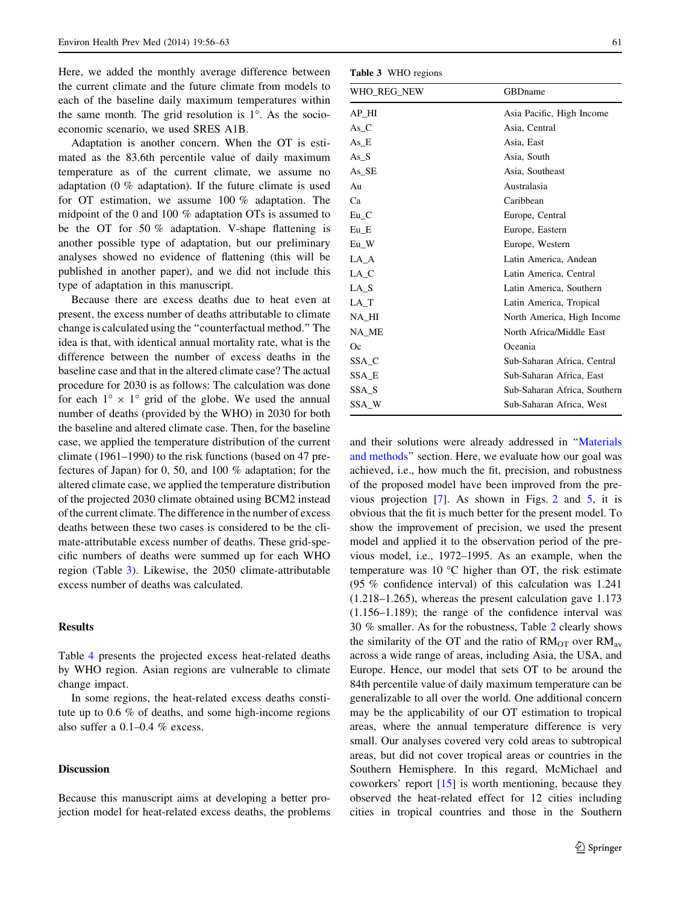Here, we added the monthly average difference between the current climate and the future climate from models to each of the baseline daily maximum temperatures within the same month. The grid resolution is  $1^\circ$ . As the socioeconomic scenario, we used SRES A1B.

Adaptation is another concern. When the OT is estimated as the 83.6th percentile value of daily maximum temperature as of the current climate, we assume no adaptation (0 % adaptation). If the future climate is used for OT estimation, we assume 100 % adaptation. The midpoint of the 0 and 100 % adaptation OTs is assumed to be the OT for 50 % adaptation. V-shape flattening is another possible type of adaptation, but our preliminary analyses showed no evidence of flattening (this will be published in another paper), and we did not include this type of adaptation in this manuscript.

Because there are excess deaths due to heat even at present, the excess number of deaths attributable to climate change is calculated using the ''counterfactual method.'' The idea is that, with identical annual mortality rate, what is the difference between the number of excess deaths in the baseline case and that in the altered climate case? The actual procedure for 2030 is as follows: The calculation was done for each  $1^{\circ} \times 1^{\circ}$  grid of the globe. We used the annual number of deaths (provided by the WHO) in 2030 for both the baseline and altered climate case. Then, for the baseline case, we applied the temperature distribution of the current climate (1961–1990) to the risk functions (based on 47 prefectures of Japan) for 0, 50, and 100 % adaptation; for the altered climate case, we applied the temperature distribution of the projected 2030 climate obtained using BCM2 instead of the current climate. The difference in the number of excess deaths between these two cases is considered to be the climate-attributable excess number of deaths. These grid-specific numbers of deaths were summed up for each WHO region (Table 3). Likewise, the 2050 climate-attributable excess number of deaths was calculated.

## **Results**

Table [4](#page-6-0) presents the projected excess heat-related deaths by WHO region. Asian regions are vulnerable to climate change impact.

In some regions, the heat-related excess deaths constitute up to 0.6 % of deaths, and some high-income regions also suffer a 0.1–0.4 % excess.

## Discussion

Because this manuscript aims at developing a better projection model for heat-related excess deaths, the problems

Table 3 WHO regions

| WHO REG NEW | GBDname                      |  |  |  |
|-------------|------------------------------|--|--|--|
| AP_HI       | Asia Pacific, High Income    |  |  |  |
| $As_C$      | Asia, Central                |  |  |  |
| As_E        | Asia, East                   |  |  |  |
| As $S$      | Asia, South                  |  |  |  |
| As_SE       | Asia, Southeast              |  |  |  |
| Au          | Australasia                  |  |  |  |
| Ca          | Caribbean                    |  |  |  |
| $Eu_C$      | Europe, Central              |  |  |  |
| $Eu$ $E$    | Europe, Eastern              |  |  |  |
| $Eu$ W      | Europe, Western              |  |  |  |
| LA_A        | Latin America, Andean        |  |  |  |
| $LA_C$      | Latin America, Central       |  |  |  |
| $LA_S$      | Latin America, Southern      |  |  |  |
| LA_T        | Latin America, Tropical      |  |  |  |
| NA_HI       | North America, High Income   |  |  |  |
| NA_ME       | North Africa/Middle East     |  |  |  |
| <b>Oc</b>   | Oceania                      |  |  |  |
| SSA_C       | Sub-Saharan Africa, Central  |  |  |  |
| SSA_E       | Sub-Saharan Africa, East     |  |  |  |
| SSA_S       | Sub-Saharan Africa, Southern |  |  |  |
| SSA_W       | Sub-Saharan Africa, West     |  |  |  |

and their solutions were already addressed in '['Materials](#page-2-0) [and methods](#page-2-0)'' section. Here, we evaluate how our goal was achieved, i.e., how much the fit, precision, and robustness of the proposed model have been improved from the previous projection [[7\]](#page-7-0). As shown in Figs. [2](#page-1-0) and [5,](#page-4-0) it is obvious that the fit is much better for the present model. To show the improvement of precision, we used the present model and applied it to the observation period of the previous model, i.e., 1972–1995. As an example, when the temperature was 10  $\degree$ C higher than OT, the risk estimate (95 % confidence interval) of this calculation was 1.241 (1.218–1.265), whereas the present calculation gave 1.173 (1.156–1.189); the range of the confidence interval was 30 % smaller. As for the robustness, Table [2](#page-3-0) clearly shows the similarity of the OT and the ratio of  $RM<sub>OT</sub>$  over  $RM<sub>av</sub>$ across a wide range of areas, including Asia, the USA, and Europe. Hence, our model that sets OT to be around the 84th percentile value of daily maximum temperature can be generalizable to all over the world. One additional concern may be the applicability of our OT estimation to tropical areas, where the annual temperature difference is very small. Our analyses covered very cold areas to subtropical areas, but did not cover tropical areas or countries in the Southern Hemisphere. In this regard, McMichael and coworkers' report [[15\]](#page-7-0) is worth mentioning, because they observed the heat-related effect for 12 cities including cities in tropical countries and those in the Southern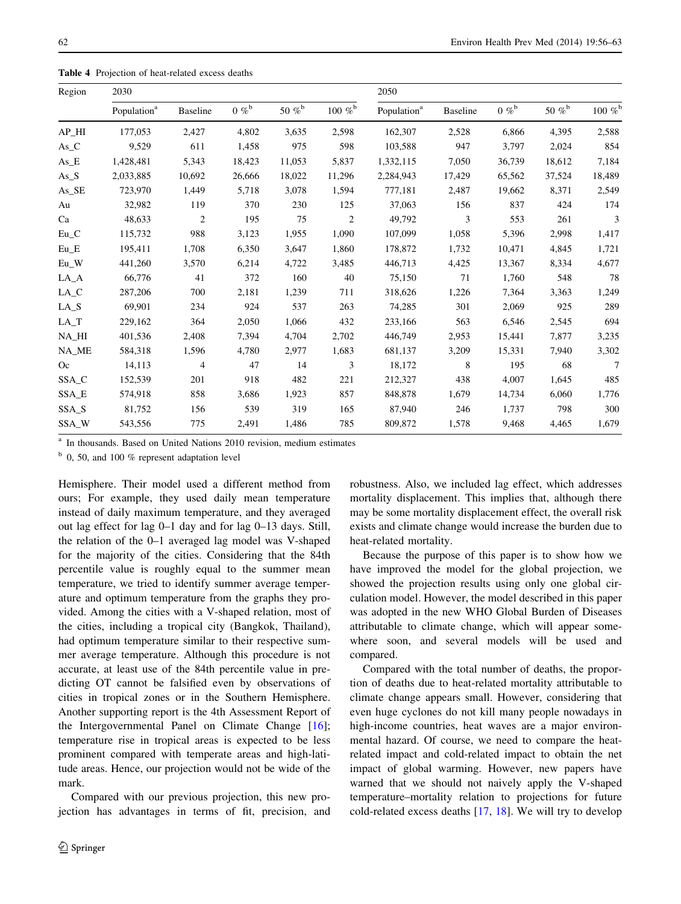<span id="page-6-0"></span>Table 4 Projection of heat-related excess deaths

| Region                                          | 2030                    |                 |                     |                      | 2050           |                         |                 |              |                      |                  |
|-------------------------------------------------|-------------------------|-----------------|---------------------|----------------------|----------------|-------------------------|-----------------|--------------|----------------------|------------------|
|                                                 | Population <sup>a</sup> | <b>Baseline</b> | $0 \%$ <sup>b</sup> | 50 % $\mathrm{^{b}}$ | 100 % $b$      | Population <sup>a</sup> | <b>Baseline</b> | 0 % $\rm ^b$ | 50 % $\mathrm{^{b}}$ | $100~\%^{\rm b}$ |
| $AP_HI$                                         | 177,053                 | 2,427           | 4,802               | 3,635                | 2,598          | 162,307                 | 2,528           | 6,866        | 4,395                | 2,588            |
| $As_C$                                          | 9,529                   | 611             | 1,458               | 975                  | 598            | 103,588                 | 947             | 3,797        | 2,024                | 854              |
| $As_E$                                          | 1,428,481               | 5,343           | 18,423              | 11,053               | 5,837          | 1,332,115               | 7,050           | 36,739       | 18,612               | 7,184            |
| $As\_S$                                         | 2,033,885               | 10,692          | 26,666              | 18,022               | 11,296         | 2,284,943               | 17,429          | 65,562       | 37,524               | 18,489           |
| $As\_SE$                                        | 723,970                 | 1,449           | 5,718               | 3,078                | 1,594          | 777,181                 | 2,487           | 19,662       | 8,371                | 2,549            |
| Au                                              | 32,982                  | 119             | 370                 | 230                  | 125            | 37,063                  | 156             | 837          | 424                  | 174              |
| Ca                                              | 48,633                  | $\overline{c}$  | 195                 | 75                   | $\overline{c}$ | 49,792                  | 3               | 553          | 261                  | 3                |
| $\mathop{\hbox{\rm Eu}}\nolimits\_C$            | 115,732                 | 988             | 3,123               | 1,955                | 1,090          | 107,099                 | 1,058           | 5,396        | 2,998                | 1,417            |
| $\mathop{\hbox{\rm Eu}}\nolimits_\mathbin{\_}E$ | 195,411                 | 1,708           | 6,350               | 3,647                | 1,860          | 178,872                 | 1,732           | 10,471       | 4,845                | 1,721            |
| $Eu_W$                                          | 441,260                 | 3,570           | 6,214               | 4,722                | 3,485          | 446,713                 | 4,425           | 13,367       | 8,334                | 4,677            |
| $LA_A$                                          | 66,776                  | 41              | 372                 | 160                  | 40             | 75,150                  | 71              | 1,760        | 548                  | 78               |
| $LA_C$                                          | 287,206                 | 700             | 2,181               | 1,239                | 711            | 318,626                 | 1,226           | 7,364        | 3,363                | 1,249            |
| $LA_S$                                          | 69,901                  | 234             | 924                 | 537                  | 263            | 74,285                  | 301             | 2,069        | 925                  | 289              |
| $\rm LA\_T$                                     | 229,162                 | 364             | 2,050               | 1,066                | 432            | 233,166                 | 563             | 6,546        | 2,545                | 694              |
| NA_HI                                           | 401,536                 | 2,408           | 7,394               | 4,704                | 2,702          | 446,749                 | 2,953           | 15,441       | 7,877                | 3,235            |
| NA_ME                                           | 584,318                 | 1,596           | 4,780               | 2,977                | 1,683          | 681,137                 | 3,209           | 15,331       | 7,940                | 3,302            |
| Oc                                              | 14,113                  | $\overline{4}$  | 47                  | 14                   | 3              | 18,172                  | 8               | 195          | 68                   | 7                |
| SSA_C                                           | 152,539                 | 201             | 918                 | 482                  | 221            | 212,327                 | 438             | 4,007        | 1,645                | 485              |
| SSA_E                                           | 574,918                 | 858             | 3,686               | 1,923                | 857            | 848,878                 | 1,679           | 14,734       | 6,060                | 1,776            |
| SSA_S                                           | 81,752                  | 156             | 539                 | 319                  | 165            | 87,940                  | 246             | 1,737        | 798                  | 300              |
| SSA_W                                           | 543,556                 | 775             | 2,491               | 1,486                | 785            | 809,872                 | 1,578           | 9,468        | 4,465                | 1,679            |

In thousands. Based on United Nations 2010 revision, medium estimates

 $b$  0, 50, and 100 % represent adaptation level

Hemisphere. Their model used a different method from ours; For example, they used daily mean temperature instead of daily maximum temperature, and they averaged out lag effect for lag 0–1 day and for lag 0–13 days. Still, the relation of the 0–1 averaged lag model was V-shaped for the majority of the cities. Considering that the 84th percentile value is roughly equal to the summer mean temperature, we tried to identify summer average temperature and optimum temperature from the graphs they provided. Among the cities with a V-shaped relation, most of the cities, including a tropical city (Bangkok, Thailand), had optimum temperature similar to their respective summer average temperature. Although this procedure is not accurate, at least use of the 84th percentile value in predicting OT cannot be falsified even by observations of cities in tropical zones or in the Southern Hemisphere. Another supporting report is the 4th Assessment Report of the Intergovernmental Panel on Climate Change [\[16](#page-7-0)]; temperature rise in tropical areas is expected to be less prominent compared with temperate areas and high-latitude areas. Hence, our projection would not be wide of the mark.

Compared with our previous projection, this new projection has advantages in terms of fit, precision, and robustness. Also, we included lag effect, which addresses mortality displacement. This implies that, although there may be some mortality displacement effect, the overall risk exists and climate change would increase the burden due to heat-related mortality.

Because the purpose of this paper is to show how we have improved the model for the global projection, we showed the projection results using only one global circulation model. However, the model described in this paper was adopted in the new WHO Global Burden of Diseases attributable to climate change, which will appear somewhere soon, and several models will be used and compared.

Compared with the total number of deaths, the proportion of deaths due to heat-related mortality attributable to climate change appears small. However, considering that even huge cyclones do not kill many people nowadays in high-income countries, heat waves are a major environmental hazard. Of course, we need to compare the heatrelated impact and cold-related impact to obtain the net impact of global warming. However, new papers have warned that we should not naively apply the V-shaped temperature–mortality relation to projections for future cold-related excess deaths [[17,](#page-7-0) [18](#page-7-0)]. We will try to develop